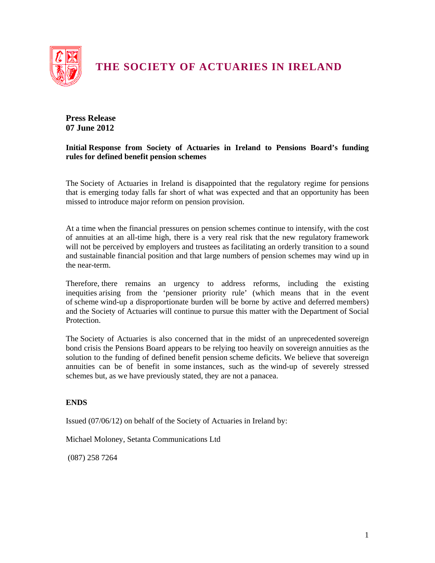

# **THE SOCIETY OF ACTUARIES IN IRELAND**

## **Press Release 07 June 2012**

#### **Initial Response from Society of Actuaries in Ireland to Pensions Board's funding rules for defined benefit pension schemes**

The Society of Actuaries in Ireland is disappointed that the regulatory regime for pensions that is emerging today falls far short of what was expected and that an opportunity has been missed to introduce major reform on pension provision.

At a time when the financial pressures on pension schemes continue to intensify, with the cost of annuities at an all-time high, there is a very real risk that the new regulatory framework will not be perceived by employers and trustees as facilitating an orderly transition to a sound and sustainable financial position and that large numbers of pension schemes may wind up in the near-term.

Therefore, there remains an urgency to address reforms, including the existing inequities arising from the 'pensioner priority rule' (which means that in the event of scheme wind-up a disproportionate burden will be borne by active and deferred members) and the Society of Actuaries will continue to pursue this matter with the Department of Social Protection.

The Society of Actuaries is also concerned that in the midst of an unprecedented sovereign bond crisis the Pensions Board appears to be relying too heavily on sovereign annuities as the solution to the funding of defined benefit pension scheme deficits. We believe that sovereign annuities can be of benefit in some instances, such as the wind-up of severely stressed schemes but, as we have previously stated, they are not a panacea.

### **ENDS**

Issued (07/06/12) on behalf of the Society of Actuaries in Ireland by:

Michael Moloney, Setanta Communications Ltd

(087) 258 7264